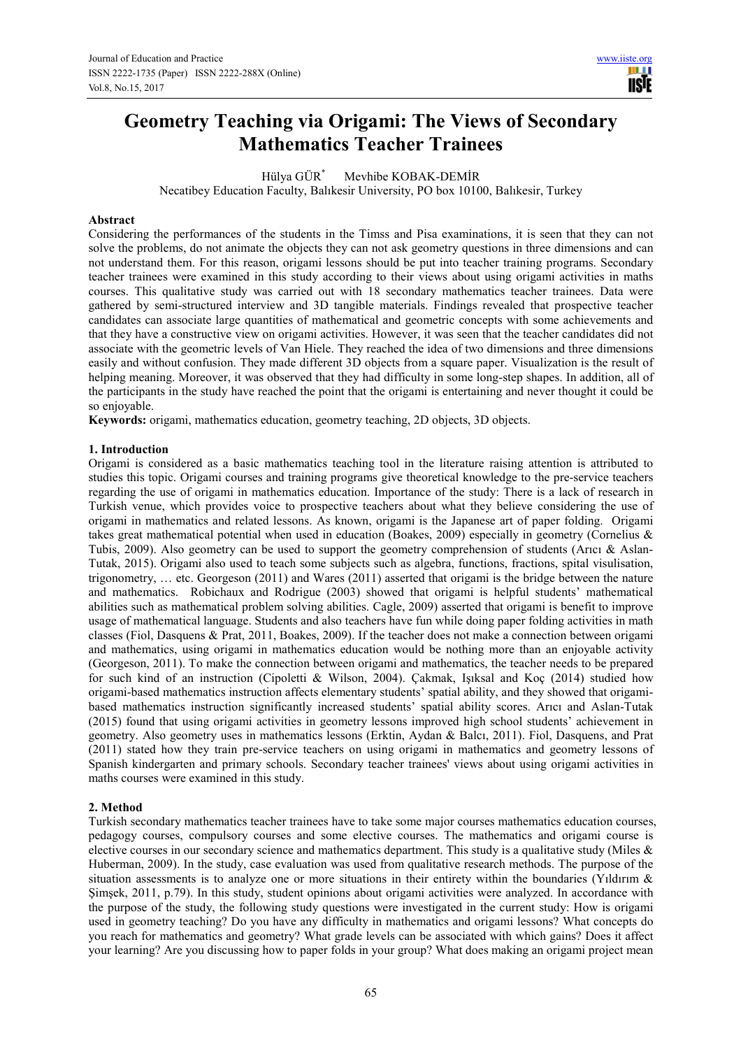# **Geometry Teaching via Origami: The Views of Secondary Mathematics Teacher Trainees**

Hülya GÜR\* Mevhibe KOBAK-DEMİR

Necatibey Education Faculty, Balıkesir University, PO box 10100, Balıkesir, Turkey

#### **Abstract**

Considering the performances of the students in the Timss and Pisa examinations, it is seen that they can not solve the problems, do not animate the objects they can not ask geometry questions in three dimensions and can not understand them. For this reason, origami lessons should be put into teacher training programs. Secondary teacher trainees were examined in this study according to their views about using origami activities in maths courses. This qualitative study was carried out with 18 secondary mathematics teacher trainees. Data were gathered by semi-structured interview and 3D tangible materials. Findings revealed that prospective teacher candidates can associate large quantities of mathematical and geometric concepts with some achievements and that they have a constructive view on origami activities. However, it was seen that the teacher candidates did not associate with the geometric levels of Van Hiele. They reached the idea of two dimensions and three dimensions easily and without confusion. They made different 3D objects from a square paper. Visualization is the result of helping meaning. Moreover, it was observed that they had difficulty in some long-step shapes. In addition, all of the participants in the study have reached the point that the origami is entertaining and never thought it could be so enjoyable.

**Keywords:** origami, mathematics education, geometry teaching, 2D objects, 3D objects.

## **1. Introduction**

Origami is considered as a basic mathematics teaching tool in the literature raising attention is attributed to studies this topic. Origami courses and training programs give theoretical knowledge to the pre-service teachers regarding the use of origami in mathematics education. Importance of the study: There is a lack of research in Turkish venue, which provides voice to prospective teachers about what they believe considering the use of origami in mathematics and related lessons. As known, origami is the Japanese art of paper folding. Origami takes great mathematical potential when used in education (Boakes, 2009) especially in geometry (Cornelius & Tubis, 2009). Also geometry can be used to support the geometry comprehension of students (Arıcı & Aslan-Tutak, 2015). Origami also used to teach some subjects such as algebra, functions, fractions, spital visulisation, trigonometry, … etc. Georgeson (2011) and Wares (2011) asserted that origami is the bridge between the nature and mathematics. Robichaux and Rodrigue (2003) showed that origami is helpful students' mathematical abilities such as mathematical problem solving abilities. Cagle, 2009) asserted that origami is benefit to improve usage of mathematical language. Students and also teachers have fun while doing paper folding activities in math classes (Fiol, Dasquens & Prat, 2011, Boakes, 2009). If the teacher does not make a connection between origami and mathematics, using origami in mathematics education would be nothing more than an enjoyable activity (Georgeson, 2011). To make the connection between origami and mathematics, the teacher needs to be prepared for such kind of an instruction (Cipoletti & Wilson, 2004). Çakmak, Işıksal and Koç (2014) studied how origami-based mathematics instruction affects elementary students' spatial ability, and they showed that origamibased mathematics instruction significantly increased students' spatial ability scores. Arıcı and Aslan-Tutak (2015) found that using origami activities in geometry lessons improved high school students' achievement in geometry. Also geometry uses in mathematics lessons (Erktin, Aydan & Balcı, 2011). Fiol, Dasquens, and Prat (2011) stated how they train pre-service teachers on using origami in mathematics and geometry lessons of Spanish kindergarten and primary schools. Secondary teacher trainees' views about using origami activities in maths courses were examined in this study.

## **2. Method**

Turkish secondary mathematics teacher trainees have to take some major courses mathematics education courses, pedagogy courses, compulsory courses and some elective courses. The mathematics and origami course is elective courses in our secondary science and mathematics department. This study is a qualitative study (Miles  $\&$ Huberman, 2009). In the study, case evaluation was used from qualitative research methods. The purpose of the situation assessments is to analyze one or more situations in their entirety within the boundaries (Yıldırım & Şimşek, 2011, p.79). In this study, student opinions about origami activities were analyzed. In accordance with the purpose of the study, the following study questions were investigated in the current study: How is origami used in geometry teaching? Do you have any difficulty in mathematics and origami lessons? What concepts do you reach for mathematics and geometry? What grade levels can be associated with which gains? Does it affect your learning? Are you discussing how to paper folds in your group? What does making an origami project mean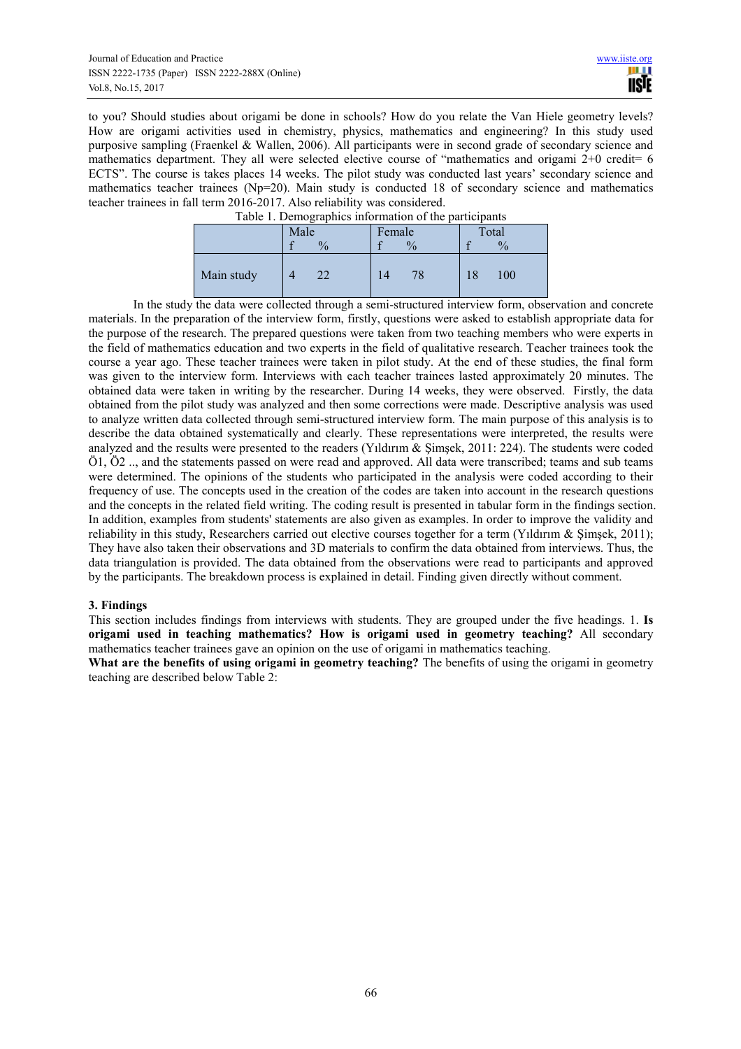to you? Should studies about origami be done in schools? How do you relate the Van Hiele geometry levels? How are origami activities used in chemistry, physics, mathematics and engineering? In this study used purposive sampling (Fraenkel & Wallen, 2006). All participants were in second grade of secondary science and mathematics department. They all were selected elective course of "mathematics and origami  $2+0$  credit= 6 ECTS". The course is takes places 14 weeks. The pilot study was conducted last years' secondary science and mathematics teacher trainees (Np=20). Main study is conducted 18 of secondary science and mathematics teacher trainees in fall term 2016-2017. Also reliability was considered.

| I able 1. Demographies information of the participants |      |               |        |               |       |               |  |
|--------------------------------------------------------|------|---------------|--------|---------------|-------|---------------|--|
|                                                        | Male |               | Female |               | Total |               |  |
|                                                        |      | $\frac{0}{0}$ |        | $\frac{0}{0}$ |       | $\frac{0}{0}$ |  |
| Main study                                             |      | 22            |        |               | 18    | 100           |  |

Table 1. Demographics information of the participants

In the study the data were collected through a semi-structured interview form, observation and concrete materials. In the preparation of the interview form, firstly, questions were asked to establish appropriate data for the purpose of the research. The prepared questions were taken from two teaching members who were experts in the field of mathematics education and two experts in the field of qualitative research. Teacher trainees took the course a year ago. These teacher trainees were taken in pilot study. At the end of these studies, the final form was given to the interview form. Interviews with each teacher trainees lasted approximately 20 minutes. The obtained data were taken in writing by the researcher. During 14 weeks, they were observed. Firstly, the data obtained from the pilot study was analyzed and then some corrections were made. Descriptive analysis was used to analyze written data collected through semi-structured interview form. The main purpose of this analysis is to describe the data obtained systematically and clearly. These representations were interpreted, the results were analyzed and the results were presented to the readers (Yildırım  $\&$  Simsek, 2011: 224). The students were coded Ö1, Ö2 .., and the statements passed on were read and approved. All data were transcribed; teams and sub teams were determined. The opinions of the students who participated in the analysis were coded according to their frequency of use. The concepts used in the creation of the codes are taken into account in the research questions and the concepts in the related field writing. The coding result is presented in tabular form in the findings section. In addition, examples from students' statements are also given as examples. In order to improve the validity and reliability in this study, Researchers carried out elective courses together for a term (Yıldırım & Şimşek, 2011); They have also taken their observations and 3D materials to confirm the data obtained from interviews. Thus, the data triangulation is provided. The data obtained from the observations were read to participants and approved by the participants. The breakdown process is explained in detail. Finding given directly without comment.

## **3. Findings**

This section includes findings from interviews with students. They are grouped under the five headings. 1. **Is origami used in teaching mathematics? How is origami used in geometry teaching?** All secondary mathematics teacher trainees gave an opinion on the use of origami in mathematics teaching.

**What are the benefits of using origami in geometry teaching?** The benefits of using the origami in geometry teaching are described below Table 2: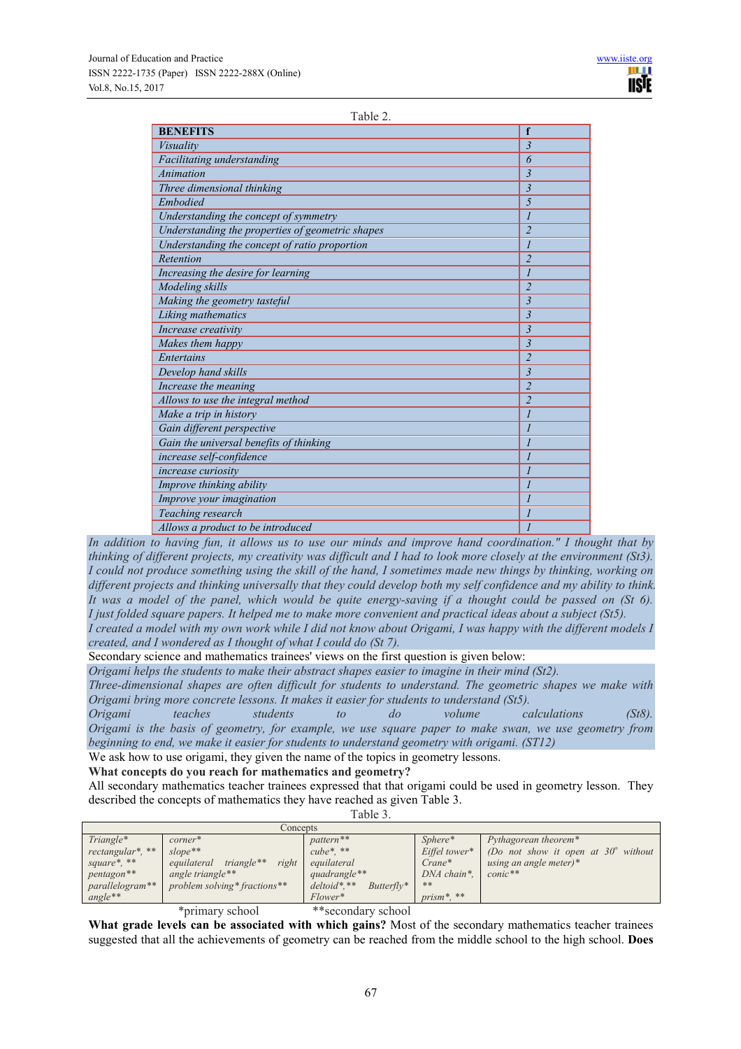| Table |  |
|-------|--|
|       |  |

| <b>BENEFITS</b>                                  | f                           |
|--------------------------------------------------|-----------------------------|
| Visuality                                        | $\overline{3}$              |
| Facilitating understanding                       | 6                           |
| Animation                                        | $\overline{3}$              |
| Three dimensional thinking                       | $\overline{3}$              |
| Embodied                                         | 5                           |
| Understanding the concept of symmetry            | $\mathcal{I}$               |
| Understanding the properties of geometric shapes | $\overline{2}$              |
| Understanding the concept of ratio proportion    | $\overline{I}$              |
| Retention                                        | $\overline{2}$              |
| Increasing the desire for learning               | $\overline{I}$              |
| Modeling skills                                  | $\overline{c}$              |
| Making the geometry tasteful                     | $\overline{3}$              |
| Liking mathematics                               | $\overline{3}$              |
| Increase creativity                              | $\overline{3}$              |
| Makes them happy                                 | $\overline{3}$              |
| Entertains                                       | $\overline{2}$              |
| Develop hand skills                              | $\overline{3}$              |
| Increase the meaning                             | $\overline{2}$              |
| Allows to use the integral method                | $\overline{2}$              |
| Make a trip in history                           | $\mathcal{I}$               |
| Gain different perspective                       | $\mathcal{I}$               |
| Gain the universal benefits of thinking          | $\mathcal{I}_{\mathcal{I}}$ |
| increase self-confidence                         | $\overline{I}$              |
| increase curiosity                               | 1                           |
| Improve thinking ability                         | $\mathcal{I}_{\mathcal{I}}$ |
| Improve your imagination                         | $\mathcal{I}$               |
| Teaching research                                | 1                           |
| Allows a product to be introduced                | $\overline{I}$              |

*In addition to having fun, it allows us to use our minds and improve hand coordination." I thought that by thinking of different projects, my creativity was difficult and I had to look more closely at the environment (St3). I could not produce something using the skill of the hand, I sometimes made new things by thinking, working on different projects and thinking universally that they could develop both my self confidence and my ability to think. It was a model of the panel, which would be quite energy-saving if a thought could be passed on (St 6). I just folded square papers. It helped me to make more convenient and practical ideas about a subject (St5).* 

*I created a model with my own work while I did not know about Origami, I was happy with the different models I created, and I wondered as I thought of what I could do (St 7).* 

Secondary science and mathematics trainees' views on the first question is given below:

*Origami helps the students to make their abstract shapes easier to imagine in their mind (St2).* 

*Three-dimensional shapes are often difficult for students to understand. The geometric shapes we make with Origami bring more concrete lessons. It makes it easier for students to understand (St5).* 

*Origami teaches students to do volume calculations (St8). Origami is the basis of geometry, for example, we use square paper to make swan, we use geometry from beginning to end, we make it easier for students to understand geometry with origami. (ST12)* 

We ask how to use origami, they given the name of the topics in geometry lessons.

**What concepts do you reach for mathematics and geometry?** 

All secondary mathematics teacher trainees expressed that that origami could be used in geometry lesson. They described the concepts of mathematics they have reached as given Table 3.

Table 3.

| Concepts         |                                    |                               |                     |                                            |  |
|------------------|------------------------------------|-------------------------------|---------------------|--------------------------------------------|--|
| Triangle*        | $corner^*$                         | pattern <sup>**</sup>         | Sphere*             | Pythagorean theorem*                       |  |
| rectangular*, ** | $slope**$                          | $cube^*$ . **                 | Eiffel tower*       | (Do not show it open at $30^\circ$ without |  |
| square*, **      | triangle**<br>right<br>equilateral | equilateral                   | $C$ <i>rane</i> $*$ | using an angle meter)*                     |  |
| pentagon**       | angle triangle**                   | quadrangle**                  | DNA chain*.         | $conic$ **                                 |  |
| parallelogram**  | problem solving* fractions**       | $deloid$ *,**<br>$Butterfly*$ | **                  |                                            |  |
| $angle**$        |                                    | Flower*                       | $prism^*$ **        |                                            |  |
|                  | 1 ا ك                              |                               |                     |                                            |  |

\*primary school \*\*secondary school

**What grade levels can be associated with which gains?** Most of the secondary mathematics teacher trainees suggested that all the achievements of geometry can be reached from the middle school to the high school. **Does**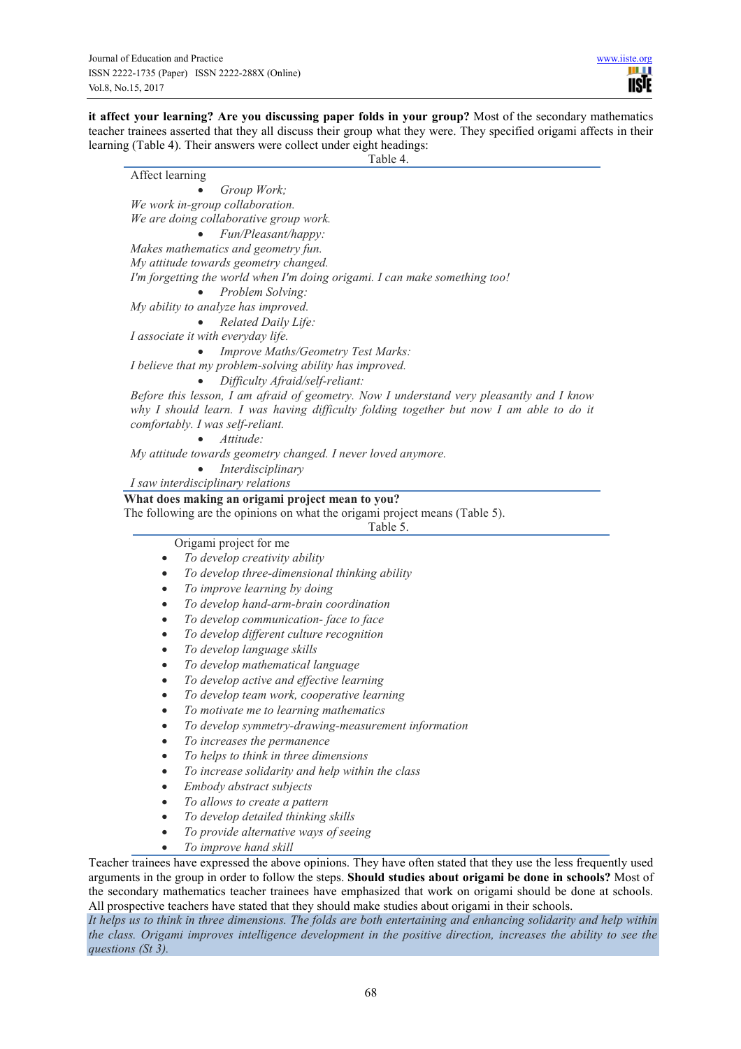**it affect your learning? Are you discussing paper folds in your group?** Most of the secondary mathematics teacher trainees asserted that they all discuss their group what they were. They specified origami affects in their learning (Table 4). Their answers were collect under eight headings:

Table 4.

Affect learning • *Group Work; We work in-group collaboration. We are doing collaborative group work.* • *Fun/Pleasant/happy: Makes mathematics and geometry fun. My attitude towards geometry changed. I'm forgetting the world when I'm doing origami. I can make something too!* • *Problem Solving: My ability to analyze has improved.* • *Related Daily Life: I associate it with everyday life.* • *Improve Maths/Geometry Test Marks: I believe that my problem-solving ability has improved.* • *Difficulty Afraid/self-reliant: Before this lesson, I am afraid of geometry. Now I understand very pleasantly and I know why I should learn. I was having difficulty folding together but now I am able to do it comfortably. I was self-reliant.* • *Attitude: My attitude towards geometry changed. I never loved anymore.* • *Interdisciplinary I saw interdisciplinary relations* **What does making an origami project mean to you?**  The following are the opinions on what the origami project means (Table 5). Table 5. Origami project for me • *To develop creativity ability* • *To develop three-dimensional thinking ability* • *To improve learning by doing* • *To develop hand-arm-brain coordination* • *To develop communication- face to face* • *To develop different culture recognition* • *To develop language skills* • *To develop mathematical language* • *To develop active and effective learning* • *To develop team work, cooperative learning* • *To motivate me to learning mathematics* • *To develop symmetry-drawing-measurement information* • *To increases the permanence*  • *To helps to think in three dimensions*  • *To increase solidarity and help within the class*  • *Embody abstract subjects*  • *To allows to create a pattern* • *To develop detailed thinking skills*  • *To provide alternative ways of seeing*  • *To improve hand skill*  Teacher trainees have expressed the above opinions. They have often stated that they use the less frequently used arguments in the group in order to follow the steps. **Should studies about origami be done in schools?** Most of the secondary mathematics teacher trainees have emphasized that work on origami should be done at schools.

All prospective teachers have stated that they should make studies about origami in their schools. *It helps us to think in three dimensions. The folds are both entertaining and enhancing solidarity and help within the class. Origami improves intelligence development in the positive direction, increases the ability to see the* 

*questions (St 3).*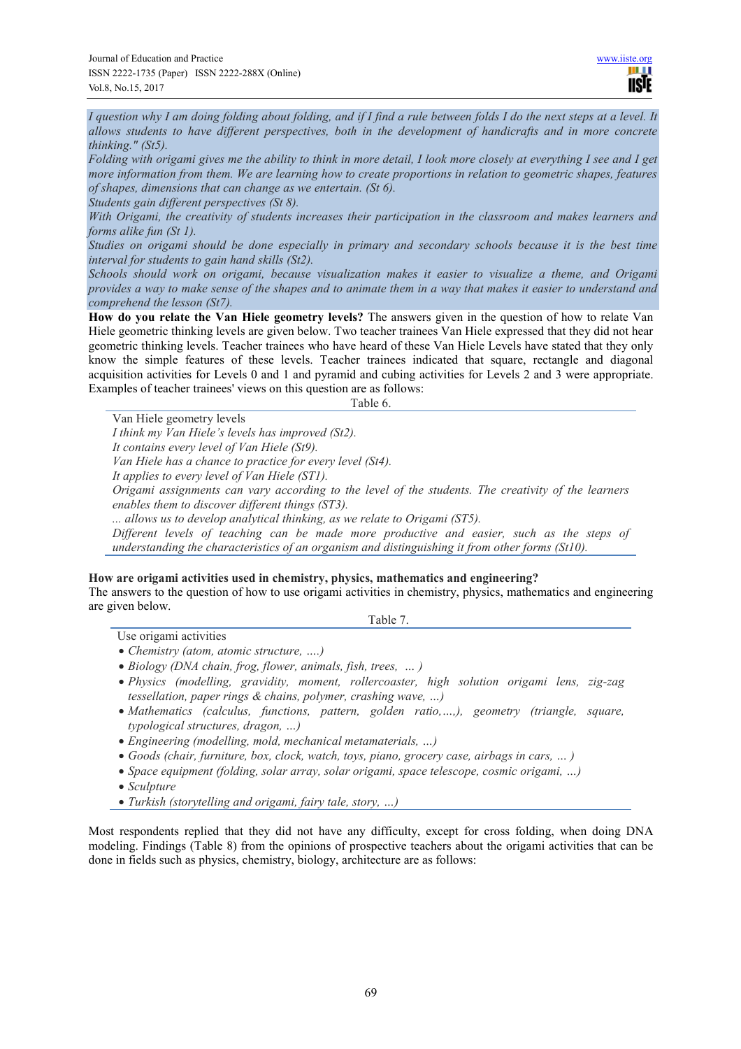*I question why I am doing folding about folding, and if I find a rule between folds I do the next steps at a level. It allows students to have different perspectives, both in the development of handicrafts and in more concrete thinking." (St5).* 

*Folding with origami gives me the ability to think in more detail, I look more closely at everything I see and I get more information from them. We are learning how to create proportions in relation to geometric shapes, features of shapes, dimensions that can change as we entertain. (St 6).* 

*Students gain different perspectives (St 8).* 

*With Origami, the creativity of students increases their participation in the classroom and makes learners and forms alike fun (St 1).* 

*Studies on origami should be done especially in primary and secondary schools because it is the best time interval for students to gain hand skills (St2).* 

*Schools should work on origami, because visualization makes it easier to visualize a theme, and Origami provides a way to make sense of the shapes and to animate them in a way that makes it easier to understand and comprehend the lesson (St7).* 

**How do you relate the Van Hiele geometry levels?** The answers given in the question of how to relate Van Hiele geometric thinking levels are given below. Two teacher trainees Van Hiele expressed that they did not hear geometric thinking levels. Teacher trainees who have heard of these Van Hiele Levels have stated that they only know the simple features of these levels. Teacher trainees indicated that square, rectangle and diagonal acquisition activities for Levels 0 and 1 and pyramid and cubing activities for Levels 2 and 3 were appropriate. Examples of teacher trainees' views on this question are as follows:

Table 6.

Van Hiele geometry levels

*I think my Van Hiele's levels has improved (St2).* 

*It contains every level of Van Hiele (St9).* 

*Van Hiele has a chance to practice for every level (St4).*

*It applies to every level of Van Hiele (ST1).*

*Origami assignments can vary according to the level of the students. The creativity of the learners enables them to discover different things (ST3).* 

*... allows us to develop analytical thinking, as we relate to Origami (ST5).* 

*Different levels of teaching can be made more productive and easier, such as the steps of understanding the characteristics of an organism and distinguishing it from other forms (St10).*

## **How are origami activities used in chemistry, physics, mathematics and engineering?**

The answers to the question of how to use origami activities in chemistry, physics, mathematics and engineering are given below.

Table 7.

- Use origami activities
- *Chemistry (atom, atomic structure, ….)*
- *Biology (DNA chain, frog, flower, animals, fish, trees, … )*
- *Physics (modelling, gravidity, moment, rollercoaster, high solution origami lens, zig-zag tessellation, paper rings & chains, polymer, crashing wave, …)*
- *Mathematics (calculus, functions, pattern, golden ratio,…,), geometry (triangle, square, typological structures, dragon, …)*
- *Engineering (modelling, mold, mechanical metamaterials, …)*
- *Goods (chair, furniture, box, clock, watch, toys, piano, grocery case, airbags in cars, … )*
- *Space equipment (folding, solar array, solar origami, space telescope, cosmic origami, …)*
- *Sculpture*
- *Turkish (storytelling and origami, fairy tale, story, …)*

Most respondents replied that they did not have any difficulty, except for cross folding, when doing DNA modeling. Findings (Table 8) from the opinions of prospective teachers about the origami activities that can be done in fields such as physics, chemistry, biology, architecture are as follows: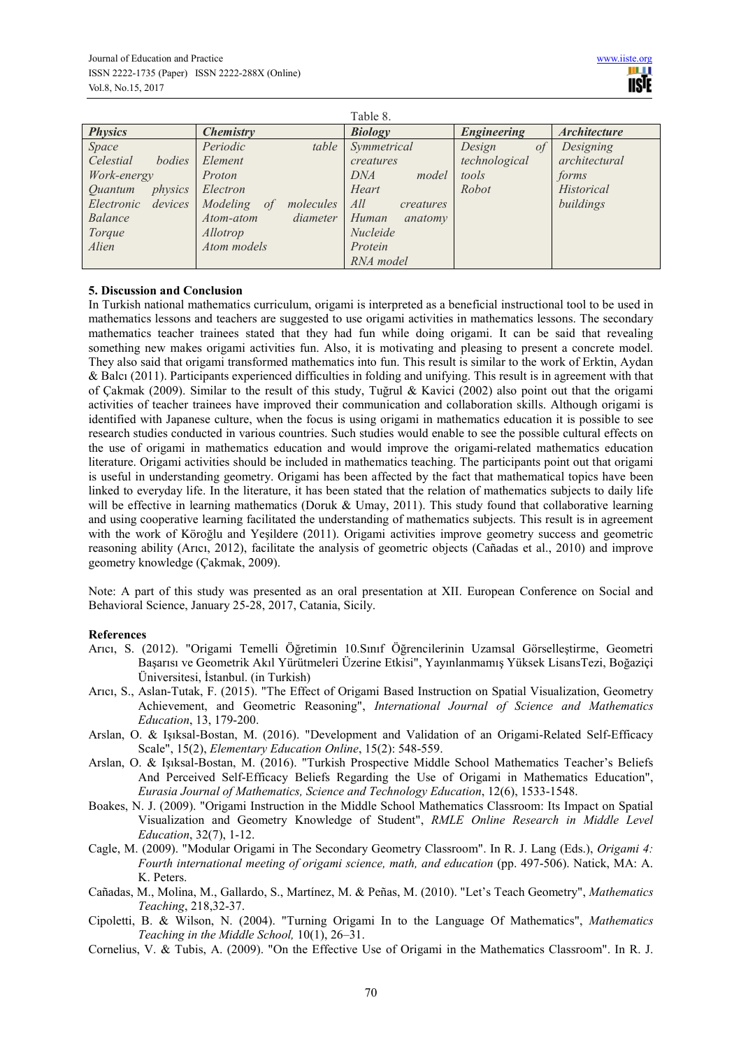| Table 8.                         |                          |                  |                    |                     |  |
|----------------------------------|--------------------------|------------------|--------------------|---------------------|--|
| <b>Physics</b>                   | Chemistry                | <b>Biology</b>   | <b>Engineering</b> | <b>Architecture</b> |  |
| Space                            | Periodic<br>table        | Symmetrical      | Design<br>of       | Designing           |  |
| Celestial<br>bodies              | Element                  | creatures        | technological      | architectural       |  |
| Work-energy                      | Proton                   | DNA<br>model     | tools              | forms               |  |
| physics<br><i><u>Ouantum</u></i> | Electron                 | Heart            | Robot              | Historical          |  |
| Electronic devices               | Modeling of<br>molecules | All<br>creatures |                    | buildings           |  |
| Balance                          | diameter<br>Atom-atom    | Human<br>anatomy |                    |                     |  |
| Torque                           | Allotrop                 | Nucleide         |                    |                     |  |
| Alien                            | Atom models              | Protein          |                    |                     |  |
|                                  |                          | RNA model        |                    |                     |  |

## **5. Discussion and Conclusion**

In Turkish national mathematics curriculum, origami is interpreted as a beneficial instructional tool to be used in mathematics lessons and teachers are suggested to use origami activities in mathematics lessons. The secondary mathematics teacher trainees stated that they had fun while doing origami. It can be said that revealing something new makes origami activities fun. Also, it is motivating and pleasing to present a concrete model. They also said that origami transformed mathematics into fun. This result is similar to the work of Erktin, Aydan & Balcı (2011). Participants experienced difficulties in folding and unifying. This result is in agreement with that of Çakmak (2009). Similar to the result of this study, Tuğrul & Kavici (2002) also point out that the origami activities of teacher trainees have improved their communication and collaboration skills. Although origami is identified with Japanese culture, when the focus is using origami in mathematics education it is possible to see research studies conducted in various countries. Such studies would enable to see the possible cultural effects on the use of origami in mathematics education and would improve the origami-related mathematics education literature. Origami activities should be included in mathematics teaching. The participants point out that origami is useful in understanding geometry. Origami has been affected by the fact that mathematical topics have been linked to everyday life. In the literature, it has been stated that the relation of mathematics subjects to daily life will be effective in learning mathematics (Doruk & Umay, 2011). This study found that collaborative learning and using cooperative learning facilitated the understanding of mathematics subjects. This result is in agreement with the work of Köroğlu and Yeşildere (2011). Origami activities improve geometry success and geometric reasoning ability (Arıcı, 2012), facilitate the analysis of geometric objects (Cañadas et al., 2010) and improve geometry knowledge (Çakmak, 2009).

Note: A part of this study was presented as an oral presentation at XII. European Conference on Social and Behavioral Science, January 25-28, 2017, Catania, Sicily.

#### **References**

- Arıcı, S. (2012). "Origami Temelli Öğretimin 10.Sınıf Öğrencilerinin Uzamsal Görselleştirme, Geometri Başarısı ve Geometrik Akıl Yürütmeleri Üzerine Etkisi", Yayınlanmamış Yüksek LisansTezi, Boğaziçi Üniversitesi, İstanbul. (in Turkish)
- Arıcı, S., Aslan-Tutak, F. (2015). "The Effect of Origami Based Instruction on Spatial Visualization, Geometry Achievement, and Geometric Reasoning", *International Journal of Science and Mathematics Education*, 13, 179-200.
- Arslan, O. & Işıksal-Bostan, M. (2016). "Development and Validation of an Origami-Related Self-Efficacy Scale", 15(2), *Elementary Education Online*, 15(2): 548-559.
- Arslan, O. & Işıksal-Bostan, M. (2016). "Turkish Prospective Middle School Mathematics Teacher's Beliefs And Perceived Self-Efficacy Beliefs Regarding the Use of Origami in Mathematics Education", *Eurasia Journal of Mathematics, Science and Technology Education*, 12(6), 1533-1548.
- Boakes, N. J. (2009). "Origami Instruction in the Middle School Mathematics Classroom: Its Impact on Spatial Visualization and Geometry Knowledge of Student", *RMLE Online Research in Middle Level Education*, 32(7), 1-12.
- Cagle, M. (2009). "Modular Origami in The Secondary Geometry Classroom". In R. J. Lang (Eds.), *Origami 4: Fourth international meeting of origami science, math, and education* (pp. 497-506). Natick, MA: A. K. Peters.
- Cañadas, M., Molina, M., Gallardo, S., Martínez, M. & Peñas, M. (2010). "Let's Teach Geometry", *Mathematics Teaching*, 218,32-37.
- Cipoletti, B. & Wilson, N. (2004). "Turning Origami In to the Language Of Mathematics", *Mathematics Teaching in the Middle School,* 10(1), 26–31.
- Cornelius, V. & Tubis, A. (2009). "On the Effective Use of Origami in the Mathematics Classroom". In R. J.